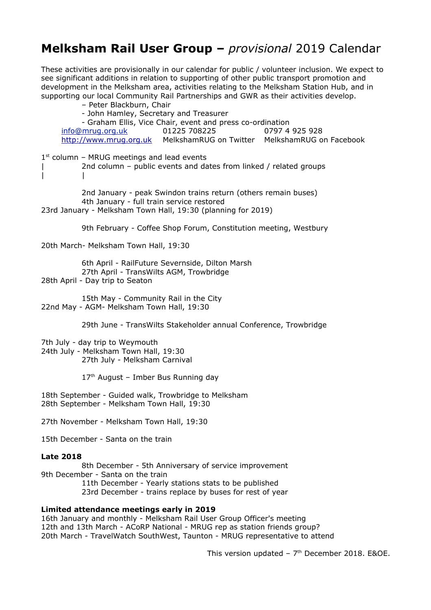## **Melksham Rail User Group –** *provisional* 2019 Calendar

These activities are provisionally in our calendar for public / volunteer inclusion. We expect to see significant additions in relation to supporting of other public transport promotion and development in the Melksham area, activities relating to the Melksham Station Hub, and in supporting our local Community Rail Partnerships and GWR as their activities develop.

– Peter Blackburn, Chair - John Hamley, Secretary and Treasurer - Graham Ellis, Vice Chair, event and press co-ordination info@mrug.org.uk 01225 708225 0797 4 925 928 http://www.mrug.org.uk MelkshamRUG on Twitter MelkshamRUG on Facebook  $1<sup>st</sup>$  column – MRUG meetings and lead events | 2nd column – public events and dates from linked / related groups | | 2nd January - peak Swindon trains return (others remain buses) 4th January - full train service restored 23rd January - Melksham Town Hall, 19:30 (planning for 2019) 9th February - Coffee Shop Forum, Constitution meeting, Westbury 20th March- Melksham Town Hall, 19:30 6th April - RailFuture Severnside, Dilton Marsh 27th April - TransWilts AGM, Trowbridge 28th April - Day trip to Seaton 15th May - Community Rail in the City 22nd May - AGM- Melksham Town Hall, 19:30 29th June - TransWilts Stakeholder annual Conference, Trowbridge 7th July - day trip to Weymouth 24th July - Melksham Town Hall, 19:30 27th July - Melksham Carnival  $17<sup>th</sup>$  August – Imber Bus Running dav 18th September - Guided walk, Trowbridge to Melksham 28th September - Melksham Town Hall, 19:30 27th November - Melksham Town Hall, 19:30 15th December - Santa on the train **Late 2018** 8th December - 5th Anniversary of service improvement 9th December - Santa on the train 11th December - Yearly stations stats to be published 23rd December - trains replace by buses for rest of year **Limited attendance meetings early in 2019**

16th January and monthly - Melksham Rail User Group Officer's meeting 12th and 13th March - ACoRP National - MRUG rep as station friends group? 20th March - TravelWatch SouthWest, Taunton - MRUG representative to attend

This version updated -  $7<sup>th</sup>$  December 2018. E&OE.